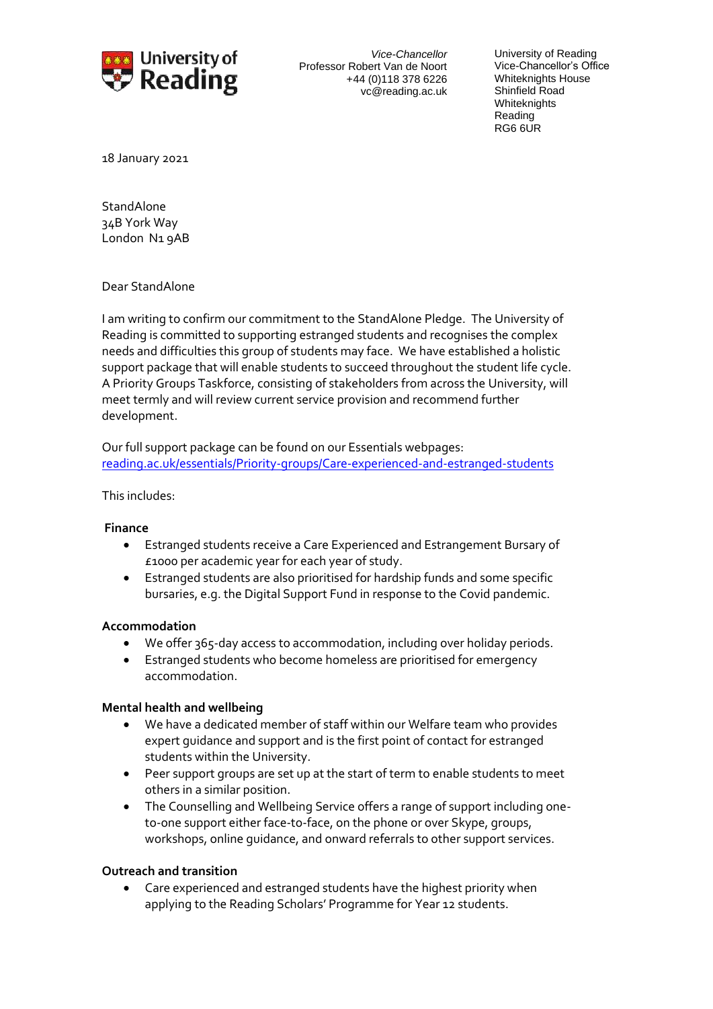

*Vice-Chancellor* Professor Robert Van de Noort +44 (0)118 378 6226 vc@reading.ac.uk University of Reading Vice-Chancellor's Office Whiteknights House Shinfield Road **Whiteknights** Reading RG6 6UR

18 January 2021

**StandAlone** 34B York Way London N1 9AB

Dear StandAlone

I am writing to confirm our commitment to the StandAlone Pledge. The University of Reading is committed to supporting estranged students and recognises the complex needs and difficulties this group of students may face. We have established a holistic support package that will enable students to succeed throughout the student life cycle. A Priority Groups Taskforce, consisting of stakeholders from across the University, will meet termly and will review current service provision and recommend further development.

Our full support package can be found on our Essentials webpages: [reading.ac.uk/essentials/Priority-groups/Care-experienced-and-estranged-students](https://www.reading.ac.uk/essentials/Priority-groups/Care-experienced-and-estranged-students)

This includes:

## **Finance**

- Estranged students receive a Care Experienced and Estrangement Bursary of £1000 per academic year for each year of study.
- Estranged students are also prioritised for hardship funds and some specific bursaries, e.g. the Digital Support Fund in response to the Covid pandemic.

## **Accommodation**

- We offer 365-day access to accommodation, including over holiday periods.
- Estranged students who become homeless are prioritised for emergency accommodation.

## **Mental health and wellbeing**

- We have a dedicated member of staff within our Welfare team who provides expert guidance and support and is the first point of contact for estranged students within the University.
- Peer support groups are set up at the start of term to enable students to meet others in a similar position.
- The Counselling and Wellbeing Service offers a range of support including oneto-one support either face-to-face, on the phone or over Skype, groups, workshops, online guidance, and onward referrals to other support services.

## **Outreach and transition**

• Care experienced and estranged students have the highest priority when applying to the Reading Scholars' Programme for Year 12 students.